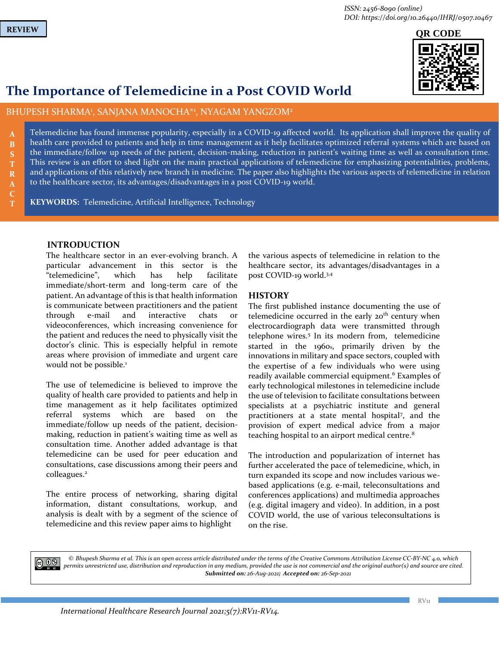**B**

**R**

**C T**



# **The Importance of Telemedicine in a Post COVID World**

BHUPESH SHARMA<sup>1</sup>, SANJANA MANOCHA\*1, NYAGAM YANGZOM<sup>2</sup>

Telemedicine has found immense popularity, especially in a COVID-19 affected world. Its application shall improve the quality of health care provided to patients and help in time management as it help facilitates optimized referral systems which are based on the immediate/follow up needs of the patient, decision-making, reduction in patient's waiting time as well as consultation time. This review is an effort to shed light on the main practical applications of telemedicine for emphasizing potentialities, problems, and applications of this relatively new branch in medicine. The paper also highlights the various aspects of telemedicine in relation to the healthcare sector, its advantages/disadvantages in a post COVID-19 world.

**KEYWORDS:** Telemedicine, Artificial Intelligence, Technology

# **INTRODUCTION**

The healthcare sector in an ever-evolving branch. A particular advancement in this sector is the "telemedicine", which has help facilitate immediate/short-term and long-term care of the patient. An advantage of this is that health information is communicate between practitioners and the patient through e-mail and interactive chats or videoconferences, which increasing convenience for the patient and reduces the need to physically visit the doctor's clinic. This is especially helpful in remote areas where provision of immediate and urgent care would not be possible.<sup>1</sup>

The use of telemedicine is believed to improve the quality of health care provided to patients and help in time management as it help facilitates optimized referral systems which are based on the immediate/follow up needs of the patient, decisionmaking, reduction in patient's waiting time as well as consultation time. Another added advantage is that telemedicine can be used for peer education and consultations, case discussions among their peers and colleagues.<sup>2</sup>

The entire process of networking, sharing digital information, distant consultations, workup, and analysis is dealt with by a segment of the science of telemedicine and this review paper aims to highlight

the various aspects of telemedicine in relation to the healthcare sector, its advantages/disadvantages in a post COVID-19 world.3,4

# **HISTORY**

The first published instance documenting the use of telemedicine occurred in the early  $20<sup>th</sup>$  century when electrocardiograph data were transmitted through telephone wires.<sup>5</sup> In its modern from, telemedicine started in the 1960s, primarily driven by the innovations in military and space sectors, coupled with the expertise of a few individuals who were using readily available commercial equipment.<sup>6</sup> Examples of early technological milestones in telemedicine include the use of television to facilitate consultations between specialists at a psychiatric institute and general practitioners at a state mental hospital<sup>7</sup>, and the provision of expert medical advice from a major teaching hospital to an airport medical centre.<sup>8</sup>

The introduction and popularization of internet has further accelerated the pace of telemedicine, which, in turn expanded its scope and now includes various webased applications (e.g. e-mail, teleconsultations and conferences applications) and multimedia approaches (e.g. digital imagery and video). In addition, in a post COVID world, the use of various teleconsultations is on the rise.

 $\bigcirc$  0.8

*© Bhupesh Sharma et al. This is an open access article distributed under the terms of the Creative Commons Attribution License CC-BY-NC 4.0, which permits unrestricted use, distribution and reproduction in any medium, provided the use is not commercial and the original author(s) and source are cited. Submitted on: 26-Aug-2021; Accepted on: 26-Sep-2021*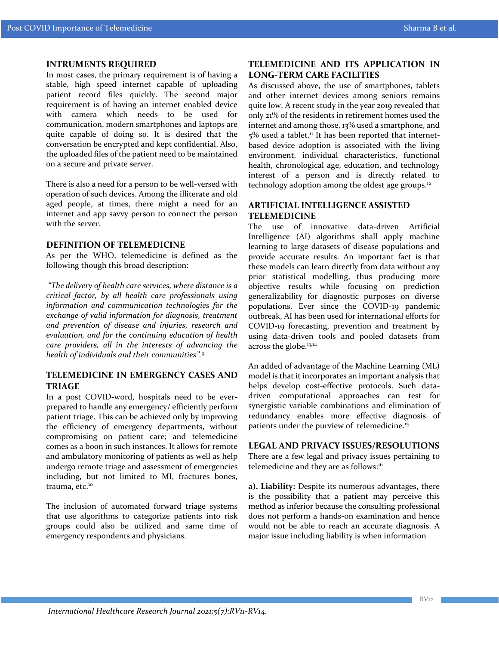#### **INTRUMENTS REQUIRED**

In most cases, the primary requirement is of having a stable, high speed internet capable of uploading patient record files quickly. The second major requirement is of having an internet enabled device with camera which needs to be used for communication, modern smartphones and laptops are quite capable of doing so. It is desired that the conversation be encrypted and kept confidential. Also, the uploaded files of the patient need to be maintained on a secure and private server.

There is also a need for a person to be well-versed with operation of such devices. Among the illiterate and old aged people, at times, there might a need for an internet and app savvy person to connect the person with the server.

### **DEFINITION OF TELEMEDICINE**

As per the WHO, telemedicine is defined as the following though this broad description:

*"The delivery of health care services, where distance is a critical factor, by all health care professionals using information and communication technologies for the exchange of valid information for diagnosis, treatment and prevention of disease and injuries, research and evaluation, and for the continuing education of health care providers, all in the interests of advancing the health of individuals and their communities".*<sup>9</sup>

# **TELEMEDICINE IN EMERGENCY CASES AND TRIAGE**

In a post COVID-word, hospitals need to be everprepared to handle any emergency/ efficiently perform patient triage. This can be achieved only by improving the efficiency of emergency departments, without compromising on patient care; and telemedicine comes as a boon in such instances. It allows for remote and ambulatory monitoring of patients as well as help undergo remote triage and assessment of emergencies including, but not limited to MI, fractures bones, trauma, etc.<sup>10</sup>

The inclusion of automated forward triage systems that use algorithms to categorize patients into risk groups could also be utilized and same time of emergency respondents and physicians.

# **TELEMEDICINE AND ITS APPLICATION IN LONG-TERM CARE FACILITIES**

As discussed above, the use of smartphones, tablets and other internet devices among seniors remains quite low. A recent study in the year 2019 revealed that only 21% of the residents in retirement homes used the internet and among those, 13% used a smartphone, and  $5\%$  used a tablet.<sup>11</sup> It has been reported that internetbased device adoption is associated with the living environment, individual characteristics, functional health, chronological age, education, and technology interest of a person and is directly related to technology adoption among the oldest age groups.<sup>12</sup>

# **ARTIFICIAL INTELLIGENCE ASSISTED TELEMEDICINE**

The use of innovative data-driven Artificial Intelligence (AI) algorithms shall apply machine learning to large datasets of disease populations and provide accurate results. An important fact is that these models can learn directly from data without any prior statistical modelling, thus producing more objective results while focusing on prediction generalizability for diagnostic purposes on diverse populations. Ever since the COVID-19 pandemic outbreak, AI has been used for international efforts for COVID-19 forecasting, prevention and treatment by using data-driven tools and pooled datasets from across the globe.<sup>13,14</sup>

An added of advantage of the Machine Learning (ML) model is that it incorporates an important analysis that helps develop cost-effective protocols. Such datadriven computational approaches can test for synergistic variable combinations and elimination of redundancy enables more effective diagnosis of patients under the purview of telemedicine.<sup>15</sup>

## **LEGAL AND PRIVACY ISSUES/RESOLUTIONS**

There are a few legal and privacy issues pertaining to telemedicine and they are as follows:<sup>16</sup>

**a). Liability:** Despite its numerous advantages, there is the possibility that a patient may perceive this method as inferior because the consulting professional does not perform a hands-on examination and hence would not be able to reach an accurate diagnosis. A major issue including liability is when information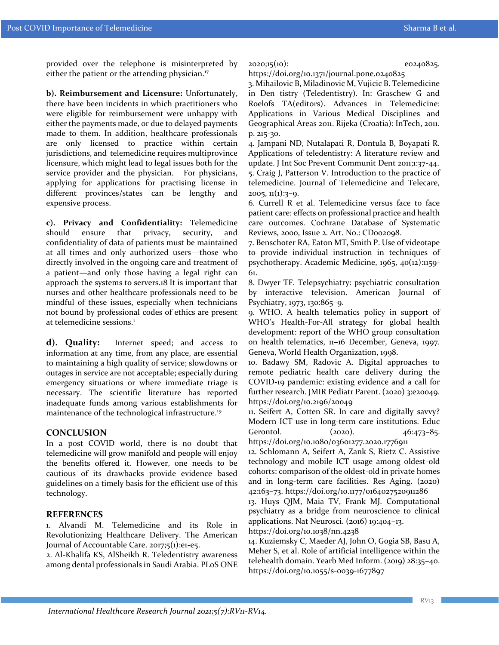provided over the telephone is misinterpreted by either the patient or the attending physician.<sup>17</sup>

**b). Reimbursement and Licensure:** Unfortunately, there have been incidents in which practitioners who were eligible for reimbursement were unhappy with either the payments made, or due to delayed payments made to them. In addition, healthcare professionals are only licensed to practice within certain jurisdictions, and telemedicine requires multiprovince licensure, which might lead to legal issues both for the service provider and the physician. For physicians, applying for applications for practising license in different provinces/states can be lengthy and expensive process.

**c). Privacy and Confidentiality:** Telemedicine should ensure that privacy, security, and confidentiality of data of patients must be maintained at all times and only authorized users—those who directly involved in the ongoing care and treatment of a patient—and only those having a legal right can approach the systems to servers.18 It is important that nurses and other healthcare professionals need to be mindful of these issues, especially when technicians not bound by professional codes of ethics are present at telemedicine sessions.<sup>1</sup>

**d). Quality:** Internet speed; and access to information at any time, from any place, are essential to maintaining a high quality of service; slowdowns or outages in service are not acceptable; especially during emergency situations or where immediate triage is necessary. The scientific literature has reported inadequate funds among various establishments for maintenance of the technological infrastructure.<sup>19</sup>

#### **CONCLUSION**

In a post COVID world, there is no doubt that telemedicine will grow manifold and people will enjoy the benefits offered it. However, one needs to be cautious of its drawbacks provide evidence based guidelines on a timely basis for the efficient use of this technology.

### **REFERENCES**

1. Alvandi M. Telemedicine and its Role in Revolutionizing Healthcare Delivery. The American Journal of Accountable Care. 2017;5(1):e1-e5.

2. Al-Khalifa KS, AlSheikh R. Teledentistry awareness among dental professionals in Saudi Arabia. PLoS ONE 2020;15(10): e0240825.

https://doi.org/10.1371/journal.pone.0240825

3. Mihailovic B, Miladinovic M, Vujicic B. Telemedicine in Den tistry (Teledentistry). In: Graschew G and Roelofs TA(editors). Advances in Telemedicine: Applications in Various Medical Disciplines and Geographical Areas 2011. Rijeka (Croatia): InTech, 2011. p. 215-30.

4. Jampani ND, Nutalapati R, Dontula B, Boyapati R. Applications of teledentistry: A literature review and update. J Int Soc Prevent Communit Dent 2011;1:37-44. 5. Craig J, Patterson V. Introduction to the practice of telemedicine. Journal of Telemedicine and Telecare,  $2005, 11(1):3-9.$ 

6. Currell R et al. Telemedicine versus face to face patient care: effects on professional practice and health care outcomes. Cochrane Database of Systematic Reviews, 2000, Issue 2. Art. No.: CD002098.

7. Benschoter RA, Eaton MT, Smith P. Use of videotape to provide individual instruction in techniques of psychotherapy. Academic Medicine, 1965, 40(12):1159- 61.

8. Dwyer TF. Telepsychiatry: psychiatric consultation by interactive television. American Journal of Psychiatry, 1973, 130:865-9.

9. WHO. A health telematics policy in support of WHO's Health-For-All strategy for global health development: report of the WHO group consultation on health telematics, 11–16 December, Geneva, 1997. Geneva, World Health Organization, 1998.

10. Badawy SM, Radovic A. Digital approaches to remote pediatric health care delivery during the COVID-19 pandemic: existing evidence and a call for further research. JMIR Pediatr Parent. (2020) 3:e20049. https://doi.org/10.2196/20049

11. Seifert A, Cotten SR. In care and digitally savvy? Modern ICT use in long-term care institutions. Educ Gerontol. (2020). 46:473-85. https://doi.org/10.1080/03601277.2020.1776911

12. Schlomann A, Seifert A, Zank S, Rietz C. Assistive technology and mobile ICT usage among oldest-old cohorts: comparison of the oldest-old in private homes and in long-term care facilities. Res Aging. (2020) 42:163–73. https://doi.org/10.1177/0164027520911286

13. Huys QJM, Maia TV, Frank MJ. Computational psychiatry as a bridge from neuroscience to clinical applications. Nat Neurosci. (2016) 19:404–13.

https://doi.org/10.1038/nn.4238

14. Kuziemsky C, Maeder AJ, John O, Gogia SB, Basu A, Meher S, et al. Role of artificial intelligence within the telehealth domain. Yearb Med Inform. (2019) 28:35–40. https://doi.org/10.1055/s-0039-1677897